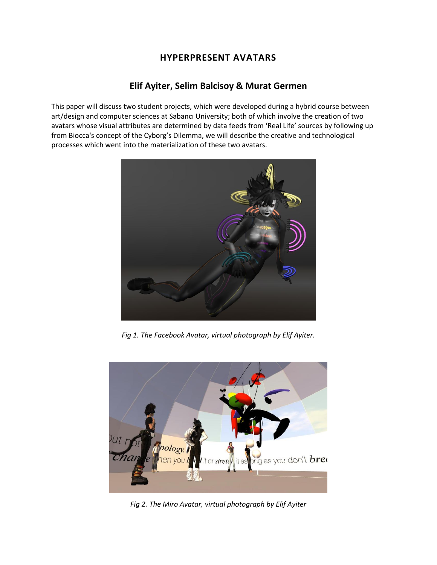# **HYPERPRESENT AVATARS**

## **Elif Ayiter, Selim Balcisoy & Murat Germen**

This paper will discuss two student projects, which were developed during a hybrid course between art/design and computer sciences at Sabancı University; both of which involve the creation of two avatars whose visual attributes are determined by data feeds from 'Real Life' sources by following up from Biocca's concept of the Cyborg's Dilemma, we will describe the creative and technological processes which went into the materialization of these two avatars.



*Fig 1. The Facebook Avatar, virtual photograph by Elif Ayiter.*



*Fig 2. The Miro Avatar, virtual photograph by Elif Ayiter*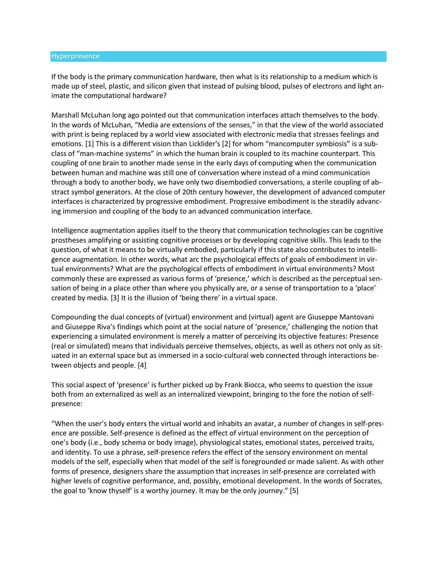#### Hyperpresence

If the body is the primary communication hardware, then what is its relationship to a medium which is made up of steel, plastic, and silicon given that instead of pulsing blood, pulses of electrons and light animate the computational hardware?

Marshall McLuhan long ago pointed out that communication interfaces attach themselves to the body. In the words of McLuhan, "Media are extensions of the senses," in that the view of the world associated with print is being replaced by a world view associated with electronic media that stresses feelings and emotions. [1] This is a different vision than Licklider's [2] for whom "mancomputer symbiosis" is a subclass of "man-machine systems" in which the human brain is coupled to its machine counterpart. This coupling of one brain to another made sense in the early days of computing when the communication between human and machine was still one of conversation where instead of a mind communication through a body to another body, we have only two disembodied conversations, a sterile coupling of abstract symbol generators. At the close of 20th century however, the development of advanced computer interfaces is characterized by progressive embodiment. Progressive embodiment is the steadily advancing immersion and coupling of the body to an advanced communication interface.

Intelligence augmentation applies itself to the theory that communication technologies can be cognitive prostheses amplifying or assisting cognitive processes or by developing cognitive skills. This leads to the question, of what it means to be virtually embodied, particularly if this state also contributes to intelligence augmentation. In other words, what arc the psychological effects of goals of embodiment in virtual environments? What are the psychological effects of embodiment in virtual environments? Most commonly these are expressed as various forms of 'presence,' which is described as the perceptual sensation of being in a place other than where you physically are, or a sense of transportation to a 'place' created by media. [3] It is the illusion of 'being there' in a virtual space.

Compounding the dual concepts of (virtual) environment and (virtual) agent are Giuseppe Mantovani and Giuseppe Riva's findings which point at the social nature of 'presence,' challenging the notion that experiencing a simulated environment is merely a matter of perceiving its objective features: Presence (real or simulated) means that individuals perceive themselves, objects, as well as others not only as situated in an external space but as immersed in a socio-cultural web connected through interactions between objects and people. [4]

This social aspect of 'presence' is further picked up by Frank Biocca, who seems to question the issue both from an externalized as well as an internalized viewpoint, bringing to the fore the notion of selfpresence:

"When the user's body enters the virtual world and inhabits an avatar, a number of changes in self-presence are possible. Self-presence is defined as the effect of virtual environment on the perception of one's body (i.e., body schema or body image), physiological states, emotional states, perceived traits, and identity. To use a phrase, self-presence refers the effect of the sensory environment on mental models of the self, especially when that model of the self is foregrounded or made salient. As with other forms of presence, designers share the assumption that increases in self-presence are correlated with higher levels of cognitive performance, and, possibly, emotional development. In the words of Socrates, the goal to 'know thyself' is a worthy journey. It may be the only journey." [5]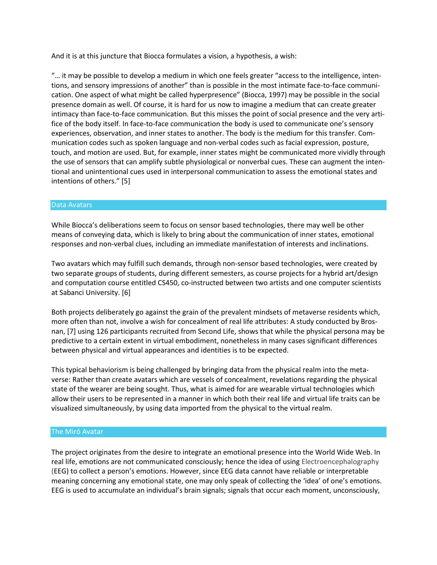And it is at this juncture that Biocca formulates a vision, a hypothesis, a wish:

"… it may be possible to develop a medium in which one feels greater "access to the intelligence, intentions, and sensory impressions of another" than is possible in the most intimate face-to-face communication. One aspect of what might be called hyperpresence" (Biocca, 1997) may be possible in the social presence domain as well. Of course, it is hard for us now to imagine a medium that can create greater intimacy than face-to-face communication. But this misses the point of social presence and the very artifice of the body itself. In face-to-face communication the body is used to communicate one's sensory experiences, observation, and inner states to another. The body is the medium for this transfer. Communication codes such as spoken language and non-verbal codes such as facial expression, posture, touch, and motion are used. But, for example, inner states might be communicated more vividly through the use of sensors that can amplify subtle physiological or nonverbal cues. These can augment the intentional and unintentional cues used in interpersonal communication to assess the emotional states and intentions of others." [5]

### Data Avatars

While Biocca's deliberations seem to focus on sensor based technologies, there may well be other means of conveying data, which is likely to bring about the communication of inner states, emotional responses and non-verbal clues, including an immediate manifestation of interests and inclinations.

Two avatars which may fulfill such demands, through non-sensor based technologies, were created by two separate groups of students, during different semesters, as course projects for a hybrid art/design and computation course entitled CS450, co-instructed between two artists and one computer scientists at Sabanci University. [6]

Both projects deliberately go against the grain of the prevalent mindsets of metaverse residents which, more often than not, involve a wish for concealment of real life attributes: A study conducted by Brosnan, [7] using 126 participants recruited from Second Life, shows that while the physical persona may be predictive to a certain extent in virtual embodiment, nonetheless in many cases significant differences between physical and virtual appearances and identities is to be expected.

This typical behaviorism is being challenged by bringing data from the physical realm into the metaverse: Rather than create avatars which are vessels of concealment, revelations regarding the physical state of the wearer are being sought. Thus, what is aimed for are wearable virtual technologies which allow their users to be represented in a manner in which both their real life and virtual life traits can be visualized simultaneously, by using data imported from the physical to the virtual realm.

### The Miró Avatar

The project originates from the desire to integrate an emotional presence into the World Wide Web. In real life, emotions are not communicated consciously; hence the idea of using Electroencephalography (EEG) to collect a person's emotions. However, since EEG data cannot have reliable or interpretable meaning concerning any emotional state, one may only speak of collecting the 'idea' of one's emotions. EEG is used to accumulate an individual's brain signals; signals that occur each moment, unconsciously,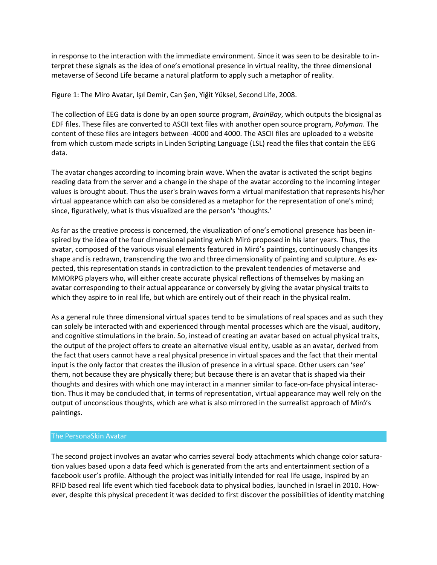in response to the interaction with the immediate environment. Since it was seen to be desirable to interpret these signals as the idea of one's emotional presence in virtual reality, the three dimensional metaverse of Second Life became a natural platform to apply such a metaphor of reality.

Figure 1: The Miro Avatar, Işıl Demir, Can Şen, Yiğit Yüksel, Second Life, 2008.

The collection of EEG data is done by an open source program, *BrainBay*, which outputs the biosignal as EDF files. These files are converted to ASCII text files with another open source program, *Polyman*. The content of these files are integers between -4000 and 4000. The ASCII files are uploaded to a website from which custom made scripts in Linden Scripting Language (LSL) read the files that contain the EEG data.

The avatar changes according to incoming brain wave. When the avatar is activated the script begins reading data from the server and a change in the shape of the avatar according to the incoming integer values is brought about. Thus the user's brain waves form a virtual manifestation that represents his/her virtual appearance which can also be considered as a metaphor for the representation of one's mind; since, figuratively, what is thus visualized are the person's 'thoughts.'

As far as the creative process is concerned, the visualization of one's emotional presence has been inspired by the idea of the four dimensional painting which Miró proposed in his later years. Thus, the avatar, composed of the various visual elements featured in Miró's paintings, continuously changes its shape and is redrawn, transcending the two and three dimensionality of painting and sculpture. As expected, this representation stands in contradiction to the prevalent tendencies of metaverse and MMORPG players who, will either create accurate physical reflections of themselves by making an avatar corresponding to their actual appearance or conversely by giving the avatar physical traits to which they aspire to in real life, but which are entirely out of their reach in the physical realm.

As a general rule three dimensional virtual spaces tend to be simulations of real spaces and as such they can solely be interacted with and experienced through mental processes which are the visual, auditory, and cognitive stimulations in the brain. So, instead of creating an avatar based on actual physical traits, the output of the project offers to create an alternative visual entity, usable as an avatar, derived from the fact that users cannot have a real physical presence in virtual spaces and the fact that their mental input is the only factor that creates the illusion of presence in a virtual space. Other users can 'see' them, not because they are physically there; but because there is an avatar that is shaped via their thoughts and desires with which one may interact in a manner similar to face-on-face physical interaction. Thus it may be concluded that, in terms of representation, virtual appearance may well rely on the output of unconscious thoughts, which are what is also mirrored in the surrealist approach of Miró's paintings.

### The PersonaSkin Avatar

The second project involves an avatar who carries several body attachments which change color saturation values based upon a data feed which is generated from the arts and entertainment section of a facebook user's profile. Although the project was initially intended for real life usage, inspired by an RFID based real life event which tied facebook data to physical bodies, launched in Israel in 2010. However, despite this physical precedent it was decided to first discover the possibilities of identity matching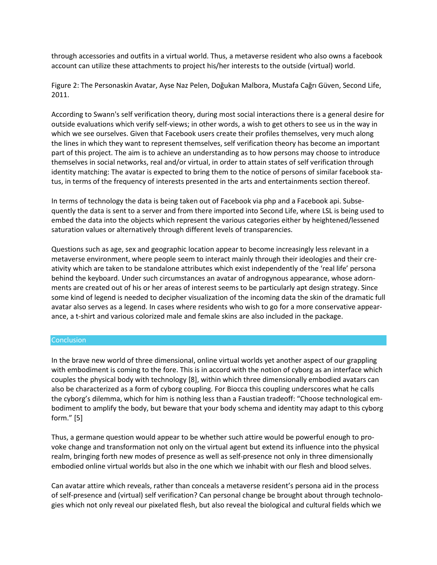through accessories and outfits in a virtual world. Thus, a metaverse resident who also owns a facebook account can utilize these attachments to project his/her interests to the outside (virtual) world.

Figure 2: The Personaskin Avatar, Ayse Naz Pelen, Doğukan Malbora, Mustafa Cağrı Güven, Second Life, 2011.

According to Swann's self verification theory, during most social interactions there is a general desire for outside evaluations which verify self-views; in other words, a wish to get others to see us in the way in which we see ourselves. Given that Facebook users create their profiles themselves, very much along the lines in which they want to represent themselves, self verification theory has become an important part of this project. The aim is to achieve an understanding as to how persons may choose to introduce themselves in social networks, real and/or virtual, in order to attain states of self verification through identity matching: The avatar is expected to bring them to the notice of persons of similar facebook status, in terms of the frequency of interests presented in the arts and entertainments section thereof.

In terms of technology the data is being taken out of Facebook via php and a Facebook api. Subsequently the data is sent to a server and from there imported into Second Life, where LSL is being used to embed the data into the objects which represent the various categories either by heightened/lessened saturation values or alternatively through different levels of transparencies.

Questions such as age, sex and geographic location appear to become increasingly less relevant in a metaverse environment, where people seem to interact mainly through their ideologies and their creativity which are taken to be standalone attributes which exist independently of the 'real life' persona behind the keyboard. Under such circumstances an avatar of androgynous appearance, whose adornments are created out of his or her areas of interest seems to be particularly apt design strategy. Since some kind of legend is needed to decipher visualization of the incoming data the skin of the dramatic full avatar also serves as a legend. In cases where residents who wish to go for a more conservative appearance, a t-shirt and various colorized male and female skins are also included in the package.

### **Conclusion**

In the brave new world of three dimensional, online virtual worlds yet another aspect of our grappling with embodiment is coming to the fore. This is in accord with the notion of cyborg as an interface which couples the physical body with technology [8], within which three dimensionally embodied avatars can also be characterized as a form of cyborg coupling. For Biocca this coupling underscores what he calls the cyborg's dilemma, which for him is nothing less than a Faustian tradeoff: "Choose technological embodiment to amplify the body, but beware that your body schema and identity may adapt to this cyborg form." [5]

Thus, a germane question would appear to be whether such attire would be powerful enough to provoke change and transformation not only on the virtual agent but extend its influence into the physical realm, bringing forth new modes of presence as well as self-presence not only in three dimensionally embodied online virtual worlds but also in the one which we inhabit with our flesh and blood selves.

Can avatar attire which reveals, rather than conceals a metaverse resident's persona aid in the process of self-presence and (virtual) self verification? Can personal change be brought about through technologies which not only reveal our pixelated flesh, but also reveal the biological and cultural fields which we